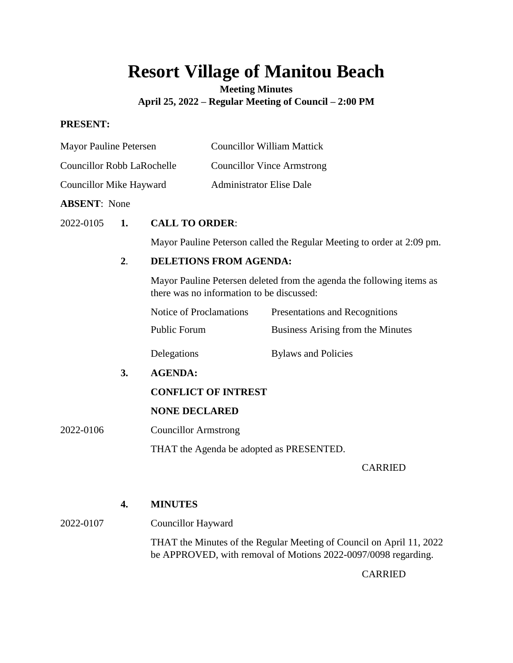# **Resort Village of Manitou Beach**

## **Meeting Minutes April 25, 2022 – Regular Meeting of Council – 2:00 PM**

## **PRESENT:**

| <b>Mayor Pauline Petersen</b>     |                             | <b>Councillor William Mattick</b>                                                                                                                   |                                                                        |                                   |                |  |  |
|-----------------------------------|-----------------------------|-----------------------------------------------------------------------------------------------------------------------------------------------------|------------------------------------------------------------------------|-----------------------------------|----------------|--|--|
| <b>Councillor Robb LaRochelle</b> |                             | <b>Councillor Vince Armstrong</b>                                                                                                                   |                                                                        |                                   |                |  |  |
| <b>Councillor Mike Hayward</b>    |                             |                                                                                                                                                     | <b>Administrator Elise Dale</b>                                        |                                   |                |  |  |
| <b>ABSENT:</b> None               |                             |                                                                                                                                                     |                                                                        |                                   |                |  |  |
| 2022-0105                         | 1.                          | <b>CALL TO ORDER:</b>                                                                                                                               |                                                                        |                                   |                |  |  |
|                                   |                             |                                                                                                                                                     | Mayor Pauline Peterson called the Regular Meeting to order at 2:09 pm. |                                   |                |  |  |
|                                   | 2.                          | <b>DELETIONS FROM AGENDA:</b><br>Mayor Pauline Petersen deleted from the agenda the following items as<br>there was no information to be discussed: |                                                                        |                                   |                |  |  |
|                                   |                             |                                                                                                                                                     |                                                                        |                                   |                |  |  |
|                                   |                             | Notice of Proclamations                                                                                                                             |                                                                        | Presentations and Recognitions    |                |  |  |
|                                   |                             | <b>Public Forum</b>                                                                                                                                 |                                                                        | Business Arising from the Minutes |                |  |  |
|                                   |                             | Delegations                                                                                                                                         |                                                                        | <b>Bylaws and Policies</b>        |                |  |  |
|                                   | 3.                          | <b>AGENDA:</b>                                                                                                                                      |                                                                        |                                   |                |  |  |
|                                   |                             | <b>CONFLICT OF INTREST</b>                                                                                                                          |                                                                        |                                   |                |  |  |
|                                   |                             |                                                                                                                                                     | <b>NONE DECLARED</b>                                                   |                                   |                |  |  |
| 2022-0106                         | <b>Councillor Armstrong</b> |                                                                                                                                                     |                                                                        |                                   |                |  |  |
|                                   |                             | THAT the Agenda be adopted as PRESENTED.                                                                                                            |                                                                        |                                   |                |  |  |
|                                   |                             |                                                                                                                                                     |                                                                        |                                   | <b>CARRIED</b> |  |  |
|                                   | 4.                          | <b>MINUTES</b>                                                                                                                                      |                                                                        |                                   |                |  |  |

2022-0107 Councillor Hayward THAT the Minutes of the Regular Meeting of Council on April 11, 2022 be APPROVED, with removal of Motions 2022-0097/0098 regarding.

CARRIED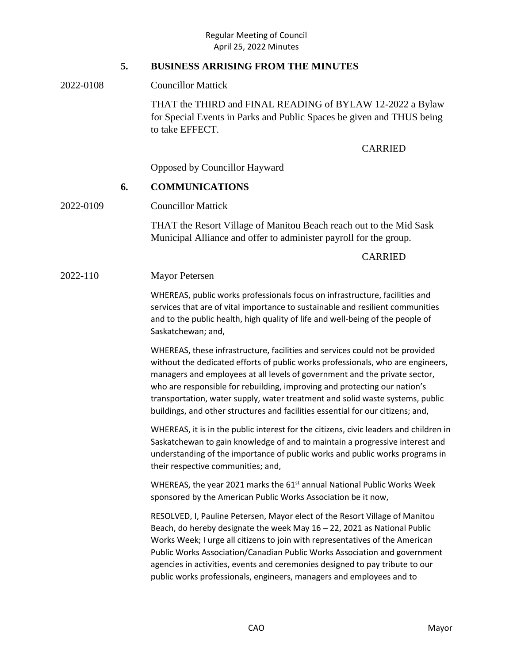## **5. BUSINESS ARRISING FROM THE MINUTES**

## 2022-0108 Councillor Mattick

THAT the THIRD and FINAL READING of BYLAW 12-2022 a Bylaw for Special Events in Parks and Public Spaces be given and THUS being to take EFFECT.

## CARRIED

Opposed by Councillor Hayward

## **6. COMMUNICATIONS**

#### 2022-0109 Councillor Mattick

THAT the Resort Village of Manitou Beach reach out to the Mid Sask Municipal Alliance and offer to administer payroll for the group.

## CARRIED

#### 2022-110 Mayor Petersen

WHEREAS, public works professionals focus on infrastructure, facilities and services that are of vital importance to sustainable and resilient communities and to the public health, high quality of life and well-being of the people of Saskatchewan; and,

WHEREAS, these infrastructure, facilities and services could not be provided without the dedicated efforts of public works professionals, who are engineers, managers and employees at all levels of government and the private sector, who are responsible for rebuilding, improving and protecting our nation's transportation, water supply, water treatment and solid waste systems, public buildings, and other structures and facilities essential for our citizens; and,

WHEREAS, it is in the public interest for the citizens, civic leaders and children in Saskatchewan to gain knowledge of and to maintain a progressive interest and understanding of the importance of public works and public works programs in their respective communities; and,

WHEREAS, the year 2021 marks the 61<sup>st</sup> annual National Public Works Week sponsored by the American Public Works Association be it now,

RESOLVED, I, Pauline Petersen, Mayor elect of the Resort Village of Manitou Beach, do hereby designate the week May 16 – 22, 2021 as National Public Works Week; I urge all citizens to join with representatives of the American Public Works Association/Canadian Public Works Association and government agencies in activities, events and ceremonies designed to pay tribute to our public works professionals, engineers, managers and employees and to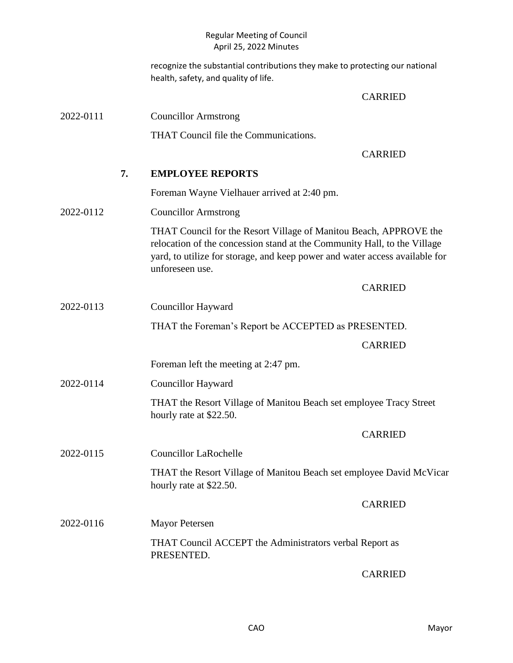## Regular Meeting of Council April 25, 2022 Minutes

|           |    | recognize the substantial contributions they make to protecting our national<br>health, safety, and quality of life.                                                                                                                            |                |
|-----------|----|-------------------------------------------------------------------------------------------------------------------------------------------------------------------------------------------------------------------------------------------------|----------------|
|           |    |                                                                                                                                                                                                                                                 | <b>CARRIED</b> |
| 2022-0111 |    | <b>Councillor Armstrong</b>                                                                                                                                                                                                                     |                |
|           |    | THAT Council file the Communications.                                                                                                                                                                                                           |                |
|           |    |                                                                                                                                                                                                                                                 | <b>CARRIED</b> |
|           | 7. | <b>EMPLOYEE REPORTS</b>                                                                                                                                                                                                                         |                |
|           |    | Foreman Wayne Vielhauer arrived at 2:40 pm.                                                                                                                                                                                                     |                |
| 2022-0112 |    | <b>Councillor Armstrong</b>                                                                                                                                                                                                                     |                |
|           |    | THAT Council for the Resort Village of Manitou Beach, APPROVE the<br>relocation of the concession stand at the Community Hall, to the Village<br>yard, to utilize for storage, and keep power and water access available for<br>unforeseen use. |                |
|           |    |                                                                                                                                                                                                                                                 | <b>CARRIED</b> |
| 2022-0113 |    | <b>Councillor Hayward</b>                                                                                                                                                                                                                       |                |
|           |    | THAT the Foreman's Report be ACCEPTED as PRESENTED.                                                                                                                                                                                             |                |
|           |    |                                                                                                                                                                                                                                                 | <b>CARRIED</b> |
|           |    | Foreman left the meeting at 2:47 pm.                                                                                                                                                                                                            |                |
| 2022-0114 |    | <b>Councillor Hayward</b>                                                                                                                                                                                                                       |                |
|           |    | THAT the Resort Village of Manitou Beach set employee Tracy Street<br>hourly rate at \$22.50.                                                                                                                                                   |                |
|           |    |                                                                                                                                                                                                                                                 | <b>CARRIED</b> |
| 2022-0115 |    | <b>Councillor LaRochelle</b>                                                                                                                                                                                                                    |                |
|           |    | THAT the Resort Village of Manitou Beach set employee David McVicar<br>hourly rate at \$22.50.                                                                                                                                                  |                |
|           |    |                                                                                                                                                                                                                                                 | <b>CARRIED</b> |
| 2022-0116 |    | <b>Mayor Petersen</b>                                                                                                                                                                                                                           |                |
|           |    | THAT Council ACCEPT the Administrators verbal Report as<br>PRESENTED.                                                                                                                                                                           |                |
|           |    |                                                                                                                                                                                                                                                 | <b>CARRIED</b> |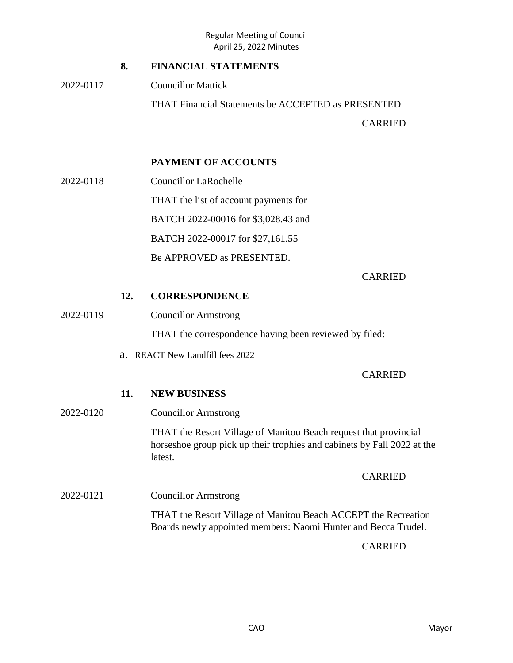#### Regular Meeting of Council April 25, 2022 Minutes

## **8. FINANCIAL STATEMENTS**

2022-0117 Councillor Mattick

THAT Financial Statements be ACCEPTED as PRESENTED.

CARRIED

## **PAYMENT OF ACCOUNTS**

2022-0118 Councillor LaRochelle

THAT the list of account payments for

BATCH 2022-00016 for \$3,028.43 and

BATCH 2022-00017 for \$27,161.55

Be APPROVED as PRESENTED.

#### CARRIED

#### **12. CORRESPONDENCE**

2022-0119 Councillor Armstrong

THAT the correspondence having been reviewed by filed:

a. REACT New Landfill fees 2022

#### CARRIED

#### **11. NEW BUSINESS**

2022-0120 Councillor Armstrong THAT the Resort Village of Manitou Beach request that provincial horseshoe group pick up their trophies and cabinets by Fall 2022 at the latest. CARRIED 2022-0121 Councillor Armstrong THAT the Resort Village of Manitou Beach ACCEPT the Recreation Boards newly appointed members: Naomi Hunter and Becca Trudel.

CARRIED